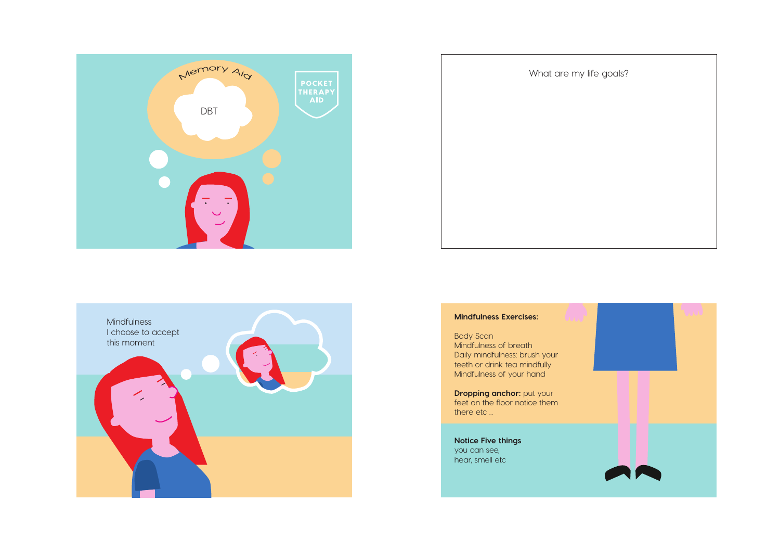





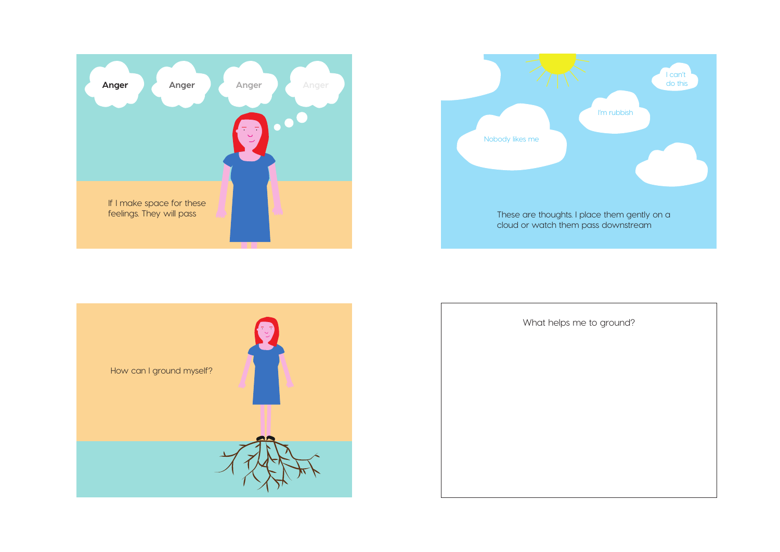





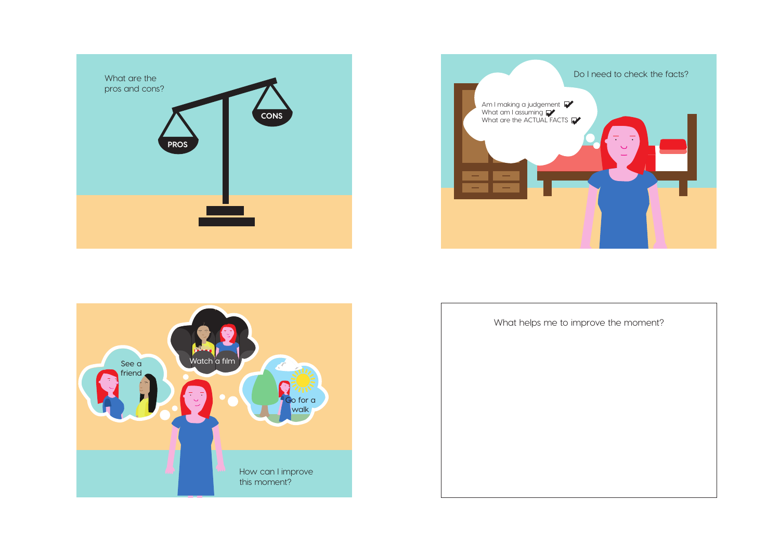





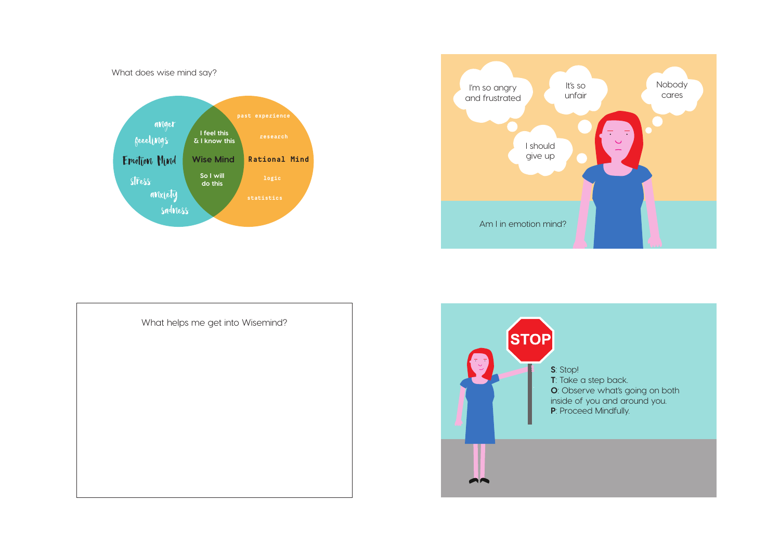What does wise mind say?







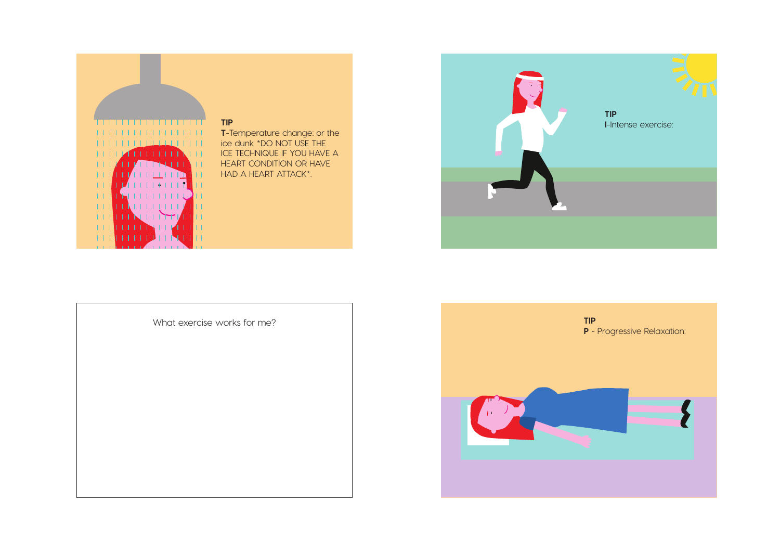



What exercise works for me?

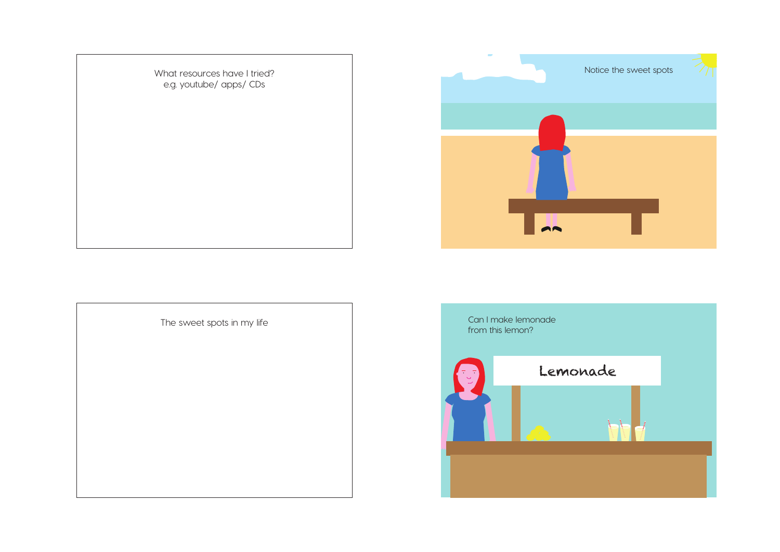What resources have I tried? e.g. youtube/ apps/ CDs





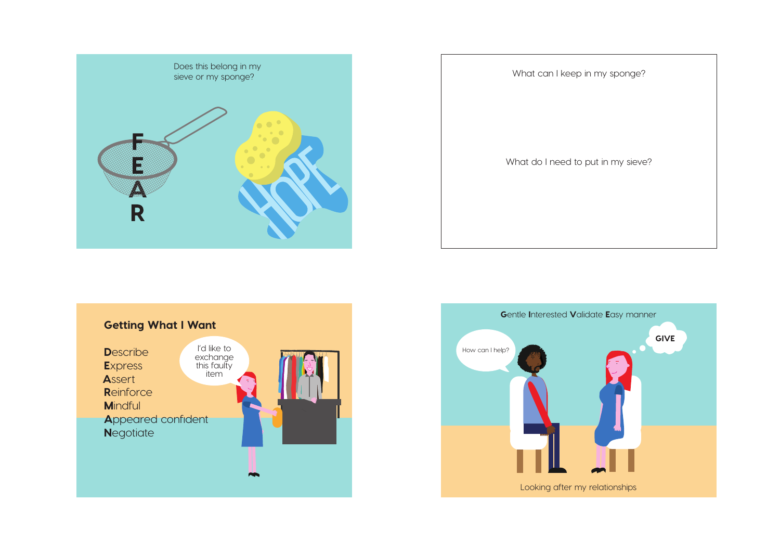





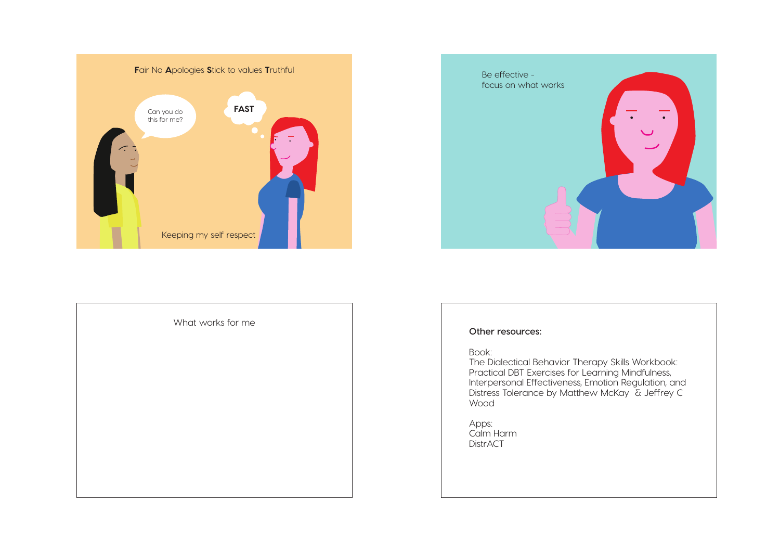





The Dialectical Behavior Therapy Skills Workbook: Practical DBT Exercises for Learning Mindfulness, Interpersonal Effectiveness, Emotion Regulation, and Distress Tolerance by Matthew McKay & Jeffrey C

Apps: Calm Harm DistrACT